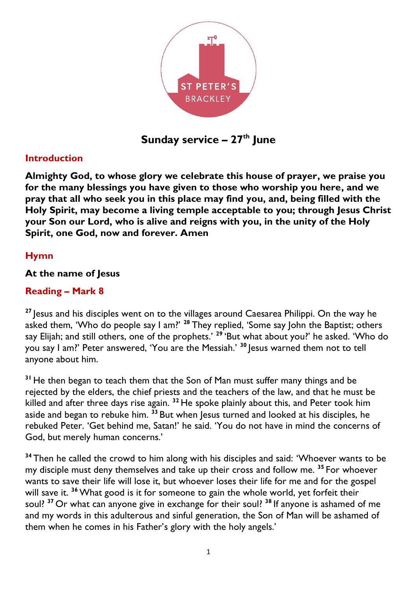

**Sunday service – 27 th June**

### **Introduction**

**Almighty God, to whose glory we celebrate this house of prayer, we praise you for the many blessings you have given to those who worship you here, and we pray that all who seek you in this place may find you, and, being filled with the Holy Spirit, may become a living temple acceptable to you; through Jesus Christ your Son our Lord, who is alive and reigns with you, in the unity of the Holy Spirit, one God, now and forever. Amen**

### **Hymn**

### **At the name of Jesus**

### **Reading – Mark 8**

**<sup>27</sup>** Jesus and his disciples went on to the villages around Caesarea Philippi. On the way he asked them, 'Who do people say I am?' **<sup>28</sup>** They replied, 'Some say John the Baptist; others say Elijah; and still others, one of the prophets.' **<sup>29</sup>** 'But what about you?' he asked. 'Who do you say I am?' Peter answered, 'You are the Messiah.' **<sup>30</sup>** Jesus warned them not to tell anyone about him.

**<sup>31</sup>** He then began to teach them that the Son of Man must suffer many things and be rejected by the elders, the chief priests and the teachers of the law, and that he must be killed and after three days rise again. **<sup>32</sup>** He spoke plainly about this, and Peter took him aside and began to rebuke him. **<sup>33</sup>** But when Jesus turned and looked at his disciples, he rebuked Peter. 'Get behind me, Satan!' he said. 'You do not have in mind the concerns of God, but merely human concerns.'

**<sup>34</sup>** Then he called the crowd to him along with his disciples and said: 'Whoever wants to be my disciple must deny themselves and take up their cross and follow me. **<sup>35</sup>** For whoever wants to save their life will lose it, but whoever loses their life for me and for the gospel will save it. **<sup>36</sup>**What good is it for someone to gain the whole world, yet forfeit their soul? **<sup>37</sup>** Or what can anyone give in exchange for their soul? **<sup>38</sup>** If anyone is ashamed of me and my words in this adulterous and sinful generation, the Son of Man will be ashamed of them when he comes in his Father's glory with the holy angels.'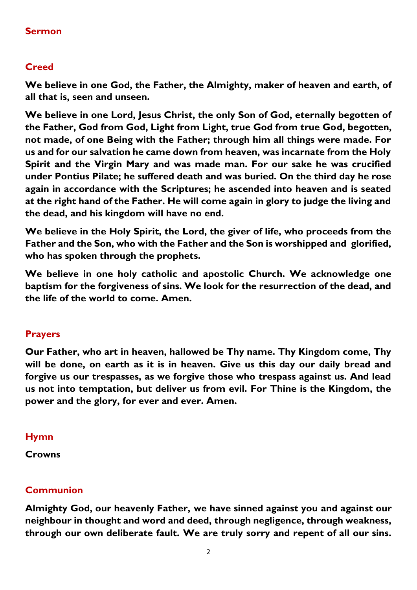### **Sermon**

### **Creed**

**We believe in one God, the Father, the Almighty, maker of heaven and earth, of all that is, seen and unseen.** 

**We believe in one Lord, Jesus Christ, the only Son of God, eternally begotten of the Father, God from God, Light from Light, true God from true God, begotten, not made, of one Being with the Father; through him all things were made. For us and for our salvation he came down from heaven, was incarnate from the Holy Spirit and the Virgin Mary and was made man. For our sake he was crucified under Pontius Pilate; he suffered death and was buried. On the third day he rose again in accordance with the Scriptures; he ascended into heaven and is seated at the right hand of the Father. He will come again in glory to judge the living and the dead, and his kingdom will have no end.**

**We believe in the Holy Spirit, the Lord, the giver of life, who proceeds from the Father and the Son, who with the Father and the Son is worshipped and glorified, who has spoken through the prophets.** 

**We believe in one holy catholic and apostolic Church. We acknowledge one baptism for the forgiveness of sins. We look for the resurrection of the dead, and the life of the world to come. Amen.**

#### **Prayers**

**Our Father, who art in heaven, hallowed be Thy name. Thy Kingdom come, Thy will be done, on earth as it is in heaven. Give us this day our daily bread and forgive us our trespasses, as we forgive those who trespass against us. And lead us not into temptation, but deliver us from evil. For Thine is the Kingdom, the power and the glory, for ever and ever. Amen.**

#### **Hymn**

**Crowns**

### **Communion**

**Almighty God, our heavenly Father, we have sinned against you and against our neighbour in thought and word and deed, through negligence, through weakness, through our own deliberate fault. We are truly sorry and repent of all our sins.**